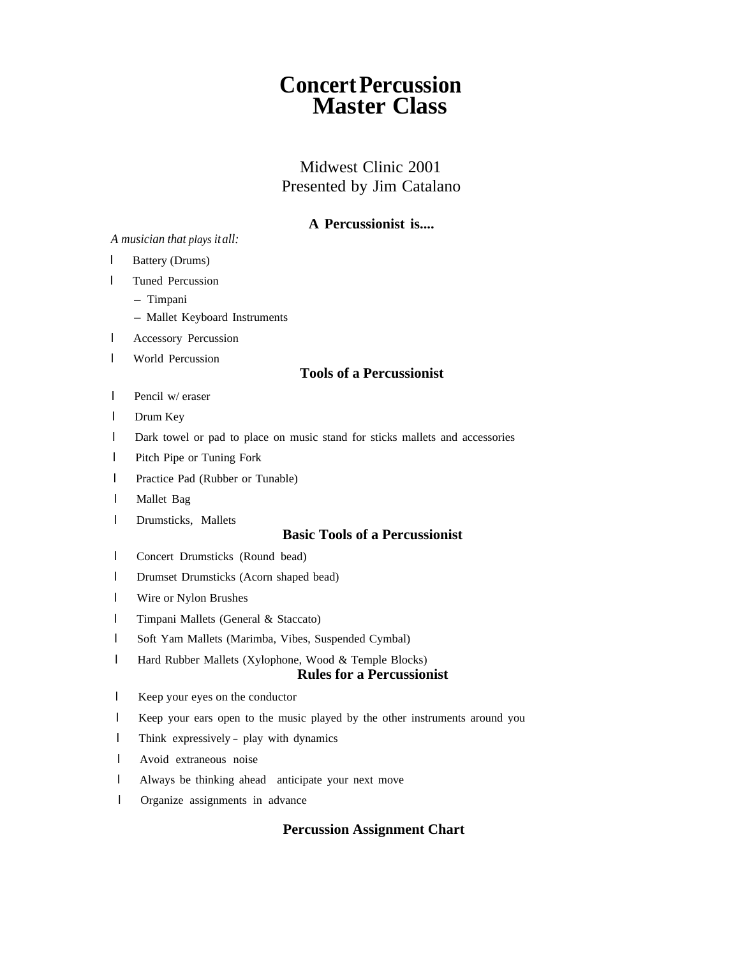# **Concert Percussion Master Class**

## Midwest Clinic 2001 Presented by Jim Catalano

## **A Percussionist is....**

#### *A musician that plays it all:*

- l Battery (Drums)
- l Tuned Percussion
	- Timpani
	- Mallet Keyboard Instruments
- l Accessory Percussion
- l World Percussion

#### **Tools of a Percussionist**

- l Pencil w/ eraser
- l Drum Key
- l Dark towel or pad to place on music stand for sticks mallets and accessories
- l Pitch Pipe or Tuning Fork
- l Practice Pad (Rubber or Tunable)
- l Mallet Bag
- l Drumsticks, Mallets

## **Basic Tools of a Percussionist**

- l Concert Drumsticks (Round bead)
- l Drumset Drumsticks (Acorn shaped bead)
- l Wire or Nylon Brushes
- l Timpani Mallets (General & Staccato)
- l Soft Yam Mallets (Marimba, Vibes, Suspended Cymbal)
- l Hard Rubber Mallets (Xylophone, Wood & Temple Blocks)

#### **Rules for a Percussionist**

- l Keep your eyes on the conductor
- l Keep your ears open to the music played by the other instruments around you
- <sup>l</sup> Think expressively play with dynamics
- l Avoid extraneous noise
- <sup>l</sup> Always be thinking ahead- anticipate your next move
- l Organize assignments in advance

#### **Percussion Assignment Chart**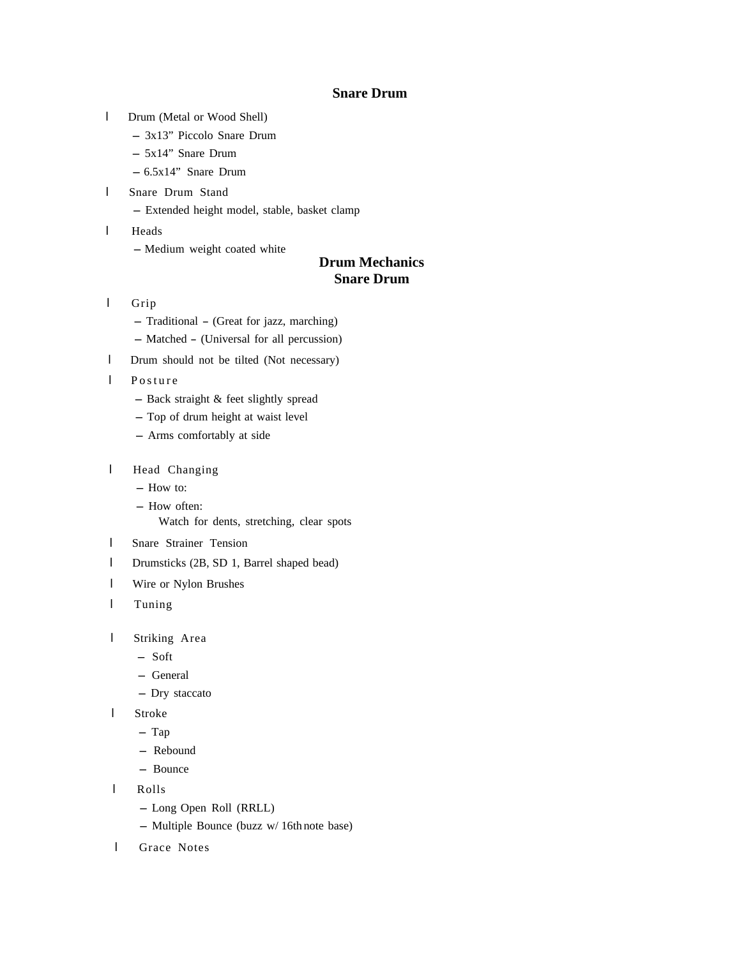#### **Snare Drum**

- l Drum (Metal or Wood Shell)
	- 3x13" Piccolo Snare Drum
	- 5x14" Snare Drum
	- $6.5x14"$  Snare Drum
- l Snare Drum Stand
	- Extended height model, stable, basket clamp
- l Heads
	- Medium weight coated white

## **Drum Mechanics Snare Drum**

- l Grip
	- Traditional (Great for jazz, marching)
	- Matched (Universal for all percussion)
- l Drum should not be tilted (Not necessary)
- l Posture
	- Back straight & feet slightly spread
	- Top of drum height at waist level
	- Arms comfortably at side
- l Head Changing
	- How to:
	- How often:
		- Watch for dents, stretching, clear spots
- l Snare Strainer Tension
- l Drumsticks (2B, SD 1, Barrel shaped bead)
- l Wire or Nylon Brushes
- l Tuning
- l Striking Area
	- Soft
	- General
	- Dry staccato
- l Stroke
	- Tap
	- Rebound
	- Bounce
- l Rolls
	- Long Open Roll (RRLL)
	- $-$  Multiple Bounce (buzz w/ 16th note base)
- l Grace Notes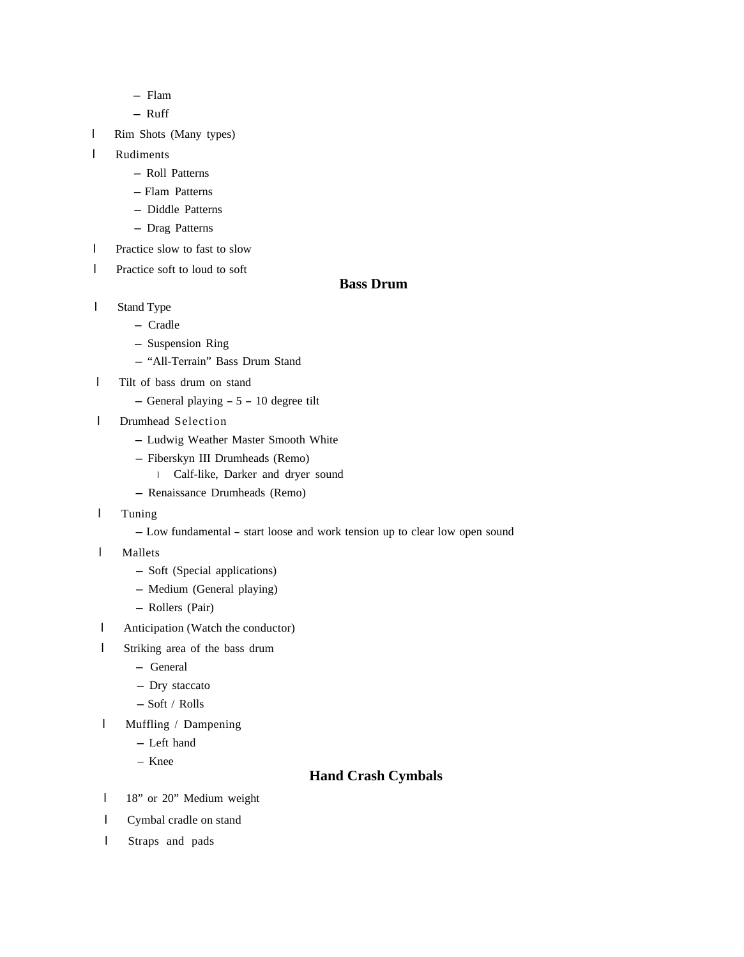- Flam
- Ruff
- l Rim Shots (Many types)
- l Rudiments
	- Roll Patterns
	- Flam Patterns
	- Diddle Patterns
	- Drag Patterns
- l Practice slow to fast to slow
- l Practice soft to loud to soft

#### **Bass Drum**

- l Stand Type
	- Cradle
	- Suspension Ring
	- "All-Terrain" Bass Drum Stand
- l Tilt of bass drum on stand
	- General playing 5 10 degree tilt
- l Drumhead Selection
	- Ludwig Weather Master Smooth White
	- Fiberskyn III Drumheads (Remo)
	- l Calf-like, Darker and dryer sound
	- Renaissance Drumheads (Remo)
- l Tuning
	- Low fundamental start loose and work tension up to clear low open sound
- l Mallets
	- Soft (Special applications)
	- Medium (General playing)
	- Rollers (Pair)
- l Anticipation (Watch the conductor)
- l Striking area of the bass drum
	- General
	- Dry staccato
	- $-$  Soft / Rolls
- l Muffling / Dampening
	- Left hand
	- \_ \_ Knee

#### **Hand Crash Cymbals**

- l 18" or 20" Medium weight
- l Cymbal cradle on stand
- l Straps and pads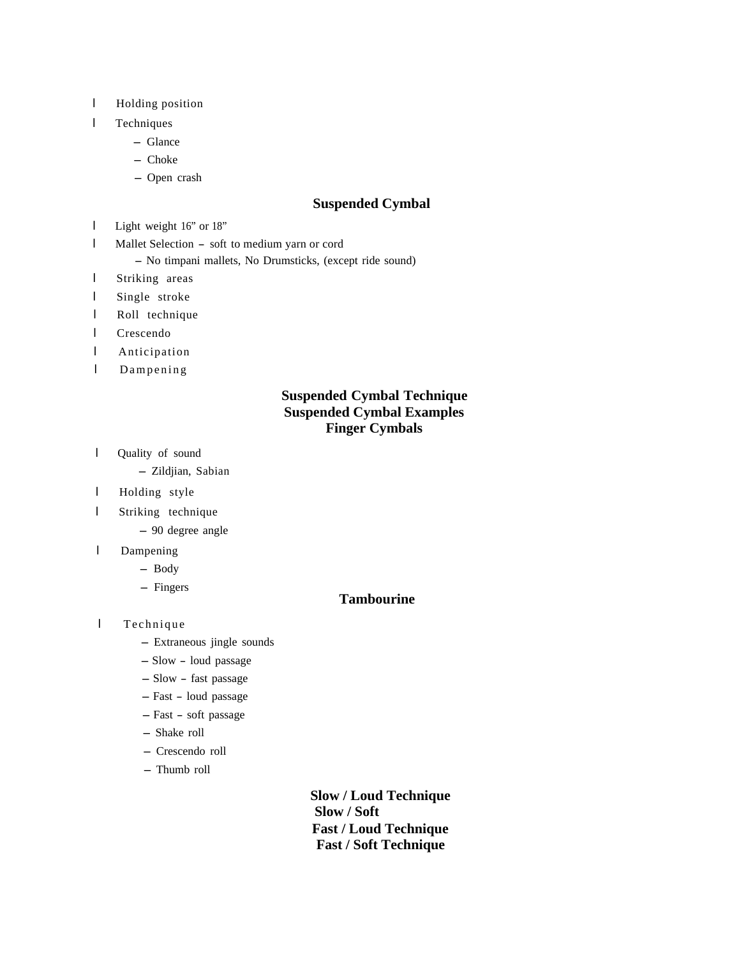- l Holding position
- l Techniques
	- Glance
	- Choke
	- Open crash

#### **Suspended Cymbal**

- l Light weight 16" or 18"
- <sup>l</sup> Mallet Selection soft to medium yarn or cord

- No timpani mallets, No Drumsticks, (except ride sound)

- l Striking areas
- l Single stroke
- l Roll technique
- l Crescendo
- l Anticipation
- l Dampening

## **Suspended Cymbal Technique Suspended Cymbal Examples Finger Cymbals**

l Quality of sound

- Zildjian, Sabian

- l Holding style
- l Striking technique
	- 90 degree angle
- l Dampening
	- Body
	- Fingers

#### **Tambourine**

- l Technique
	- Extraneous jingle sounds
	- Slow loud passage
	- Slow fast passage
	- Fast loud passage
	- Fast soft passage
	- Shake roll
	- Crescendo roll
	- Thumb roll

**Slow / Loud Technique Slow / Soft Fast / Loud Technique Fast / Soft Technique**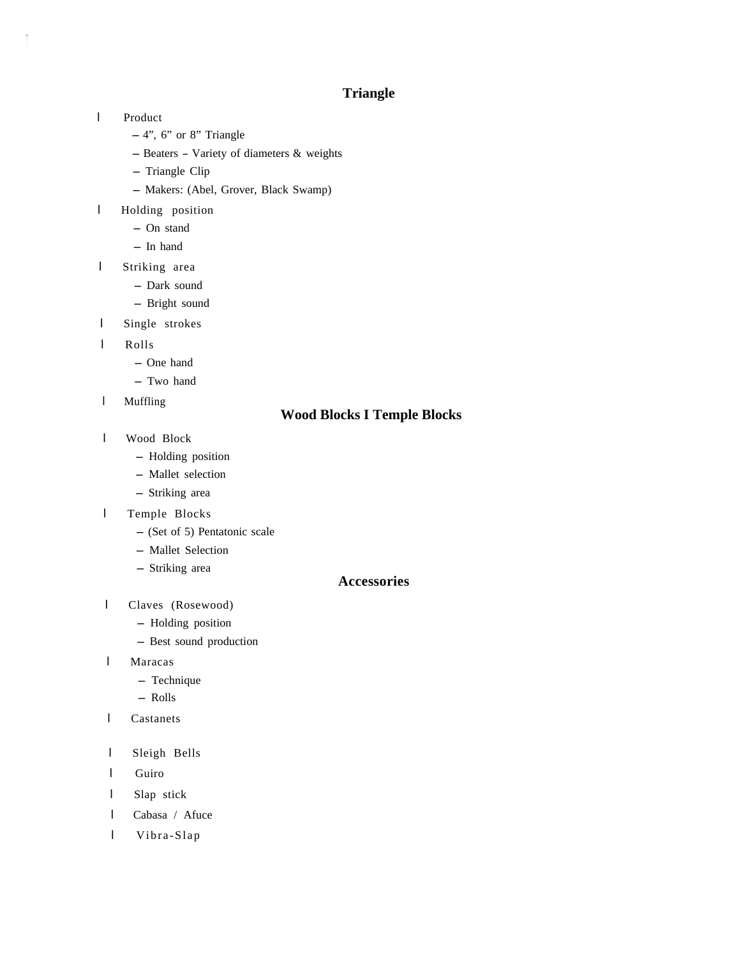## **Triangle**

l Product

Ï

- $-4$ ", 6" or 8" Triangle
- Beaters Variety of diameters & weights
- Triangle Clip
- Makers: (Abel, Grover, Black Swamp)
- l Holding position
	- On stand
	- In hand
- l Striking area
	- Dark sound
	- Bright sound
- l Single strokes
- l Rolls
	- One hand
	- Two hand
- l Muffling

## **Wood Blocks I Temple Blocks**

- l Wood Block
	- Holding position
	- Mallet selection
	- Striking area
- l Temple Blocks
	- (Set of 5) Pentatonic scale
	- Mallet Selection
	- Striking area

#### **Accessories**

- l Claves (Rosewood)
	- Holding position
	- Best sound production
- l Maracas
	- Technique
	- Rolls
- l Castanets
- l Sleigh Bells
- l Guiro
- l Slap stick
- l Cabasa / Afuce
- l Vibra-Slap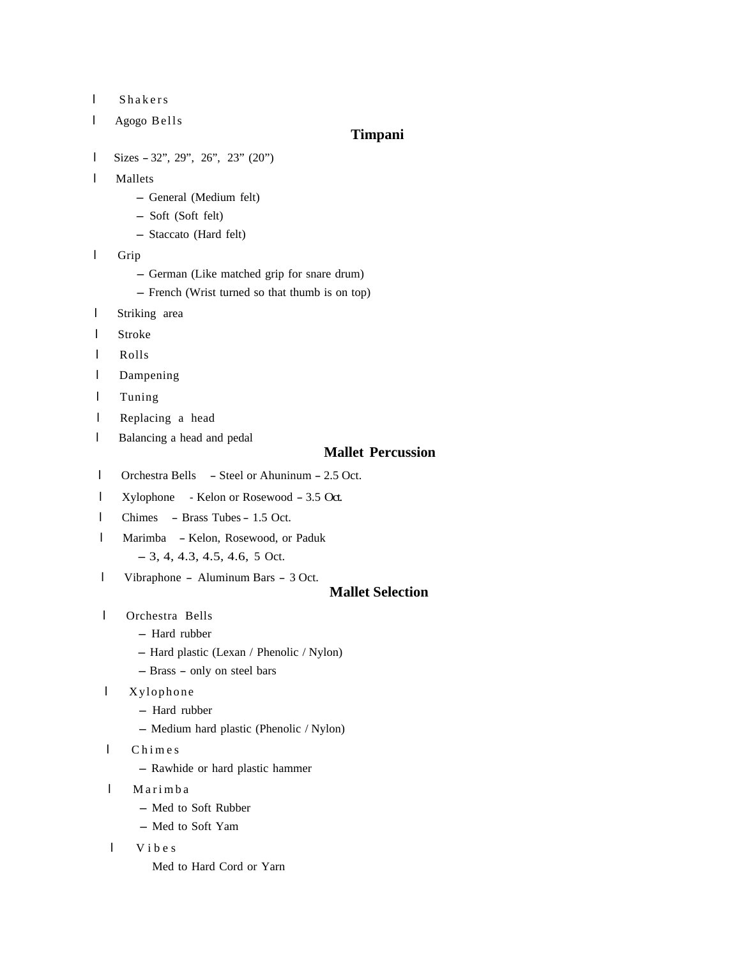- l Shakers
- l Agogo Bells

#### **Timpani**

- l Sizes 32", 29", 26", 23" (20")
- l Mallets
	- General (Medium felt)
	- Soft (Soft felt)
	- Staccato (Hard felt)
- l Grip
	- German (Like matched grip for snare drum)
	- French (Wrist turned so that thumb is on top)
- l Striking area
- l Stroke
- l Rolls
- l Dampening
- l Tuning
- l Replacing a head
- l Balancing a head and pedal

#### **Mallet Percussion**

- <sup>l</sup> Orchestra Bells Steel or Ahuninum 2.5 Oct.
- <sup>l</sup> Xylophone Kelon or Rosewood 3.5 Oct.
- <sup>l</sup> Chimes Brass Tubes 1.5 Oct.
- <sup>l</sup> Marimba Kelon, Rosewood, or Paduk
	- $-3, 4, 4.3, 4.5, 4.6, 5$  Oct.
- <sup>l</sup> Vibraphone Aluminum Bars 3 Oct.

#### **Mallet Selection**

- l Orchestra Bells
	- Hard rubber
	- Hard plastic (Lexan / Phenolic / Nylon)
	- Brass only on steel bars
- l Xylophone
	- Hard rubber
	- Medium hard plastic (Phenolic / Nylon)
- l Chimes
	- Rawhide or hard plastic hammer
- l Marimba
	- Med to Soft Rubber
	- Med to Soft Yam
- l Vibes
	- Med to Hard Cord or Yarn